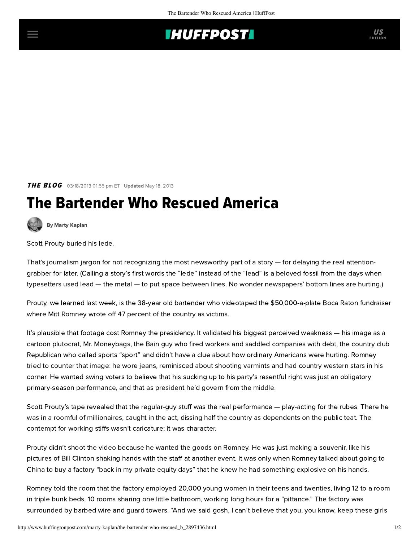## **THUFFPOSTI** US

**THE BLOG** 03/18/2013 01:55 pm ET | Updated May 18, 2013

## The Bartender Who Rescued America



[By Marty Kaplan](http://www.huffingtonpost.com/author/marty-kaplan)

Scott Prouty buried his lede.

That's journalism jargon for not recognizing the most newsworthy part of a story — for delaying the real attentiongrabber for later. (Calling a story's first words the "lede" instead of the "lead" is a beloved fossil from the days when typesetters used lead — the metal — to put space between lines. No wonder newspapers' bottom lines are hurting.)

Prouty, we learned last week, is the 38-year old bartender who videotaped the \$50,000-a-plate Boca Raton fundraiser where Mitt Romney wrote off 47 percent of the country as victims.

It's plausible that footage cost Romney the presidency. It validated his biggest perceived weakness — his image as a cartoon plutocrat, Mr. Moneybags, the Bain guy who fired workers and saddled companies with debt, the country club Republican who called sports "sport" and didn't have a clue about how ordinary Americans were hurting. Romney tried to counter that image: he wore jeans, reminisced about shooting varmints and had country western stars in his corner. He wanted swing voters to believe that his sucking up to his party's resentful right was just an obligatory primary-season performance, and that as president he'd govern from the middle.

Scott Prouty's tape revealed that the regular-guy stuff was the real performance — play-acting for the rubes. There he was in a roomful of millionaires, caught in the act, dissing half the country as dependents on the public teat. The contempt for working stiffs wasn't caricature; it was character.

Prouty didn't shoot the video because he wanted the goods on Romney. He was just making a souvenir, like his pictures of Bill Clinton shaking hands with the staff at another event. It was only when Romney talked about going to China to buy a factory "back in my private equity days" that he knew he had something explosive on his hands.

Romney told the room that the factory employed 20,000 young women in their teens and twenties, living 12 to a room in triple bunk beds, 10 rooms sharing one little bathroom, working long hours for a "pittance." The factory was surrounded by barbed wire and guard towers. "And we said gosh, I can't believe that you, you know, keep these girls